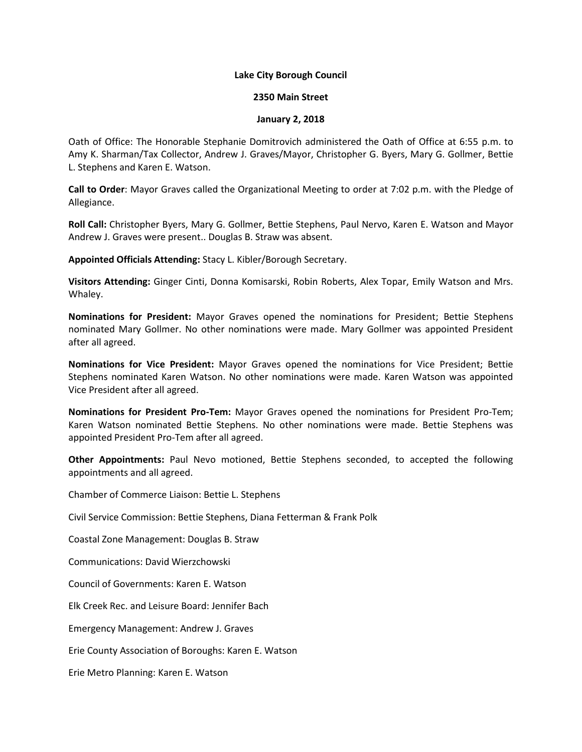### **Lake City Borough Council**

### **2350 Main Street**

### **January 2, 2018**

Oath of Office: The Honorable Stephanie Domitrovich administered the Oath of Office at 6:55 p.m. to Amy K. Sharman/Tax Collector, Andrew J. Graves/Mayor, Christopher G. Byers, Mary G. Gollmer, Bettie L. Stephens and Karen E. Watson.

**Call to Order**: Mayor Graves called the Organizational Meeting to order at 7:02 p.m. with the Pledge of Allegiance.

**Roll Call:** Christopher Byers, Mary G. Gollmer, Bettie Stephens, Paul Nervo, Karen E. Watson and Mayor Andrew J. Graves were present.. Douglas B. Straw was absent.

**Appointed Officials Attending:** Stacy L. Kibler/Borough Secretary.

**Visitors Attending:** Ginger Cinti, Donna Komisarski, Robin Roberts, Alex Topar, Emily Watson and Mrs. Whaley.

**Nominations for President:** Mayor Graves opened the nominations for President; Bettie Stephens nominated Mary Gollmer. No other nominations were made. Mary Gollmer was appointed President after all agreed.

**Nominations for Vice President:** Mayor Graves opened the nominations for Vice President; Bettie Stephens nominated Karen Watson. No other nominations were made. Karen Watson was appointed Vice President after all agreed.

**Nominations for President Pro-Tem:** Mayor Graves opened the nominations for President Pro-Tem; Karen Watson nominated Bettie Stephens. No other nominations were made. Bettie Stephens was appointed President Pro-Tem after all agreed.

**Other Appointments:** Paul Nevo motioned, Bettie Stephens seconded, to accepted the following appointments and all agreed.

Chamber of Commerce Liaison: Bettie L. Stephens

Civil Service Commission: Bettie Stephens, Diana Fetterman & Frank Polk

Coastal Zone Management: Douglas B. Straw

Communications: David Wierzchowski

Council of Governments: Karen E. Watson

Elk Creek Rec. and Leisure Board: Jennifer Bach

Emergency Management: Andrew J. Graves

Erie County Association of Boroughs: Karen E. Watson

Erie Metro Planning: Karen E. Watson